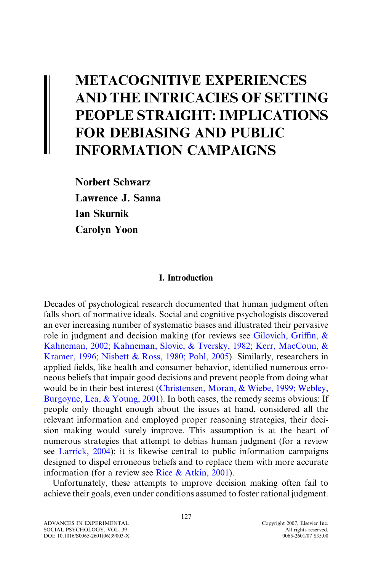# METACOGNITIVE EXPERIENCES AND THE INTRICACIES OF SETTING PEOPLE STRAIGHT: IMPLICATIONS FOR DEBIASING AND PUBLIC INFORMATION CAMPAIGNS

Norbert Schwarz Lawrence J. Sanna Ian Skurnik Carolyn Yoon

# I. Introduction

Decades of psychological research documented that human judgment often falls short of normative ideals. Social and cognitive psychologists discovered an ever increasing number of systematic biases and illustrated their pervasive role in judgment and decision making (for reviews see [Gilovich, Gri](#page-31-0)ffin,  $\&$ [Kahneman, 2002; Kahneman, Slovic, & Tversky, 1982; Kerr, MacCoun, &](#page-31-0) [Kramer, 1996; Nisbett & Ross, 1980; Pohl, 2005\)](#page-31-0). Similarly, researchers in applied fields, like health and consumer behavior, identified numerous erroneous beliefs that impair good decisions and prevent people from doing what would be in their best interest [\(Christensen, Moran, & Wiebe, 1999; Webley,](#page-30-0) Burgoyne, Lea,  $& Young, 2001$ . In both cases, the remedy seems obvious: If people only thought enough about the issues at hand, considered all the relevant information and employed proper reasoning strategies, their decision making would surely improve. This assumption is at the heart of numerous strategies that attempt to debias human judgment (for a review see [Larrick, 2004](#page-31-0)); it is likewise central to public information campaigns designed to dispel erroneous beliefs and to replace them with more accurate information (for a review see Rice  $\&$  Atkin, 2001).

Unfortunately, these attempts to improve decision making often fail to achieve their goals, even under conditions assumed to foster rational judgment.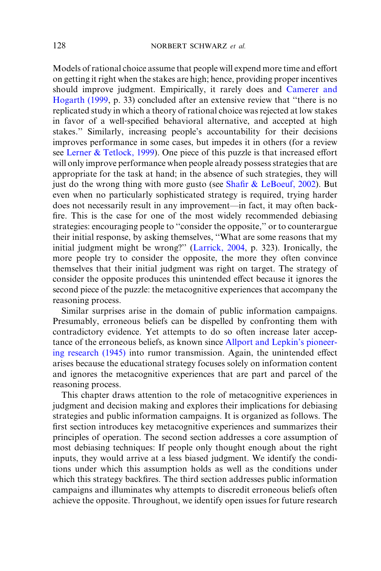Models of rational choice assume that people will expend more time and effort on getting it right when the stakes are high; hence, providing proper incentives should improve judgment. Empirically, it rarely does and [Camerer and](#page-30-0) [Hogarth \(1999,](#page-30-0) p. 33) concluded after an extensive review that ''there is no replicated study in which a theory of rational choice was rejected at low stakes in favor of a well‐specified behavioral alternative, and accepted at high stakes.'' Similarly, increasing people's accountability for their decisions improves performance in some cases, but impedes it in others (for a review see Lerner  $& \text{Tetlock}, 1999$ . One piece of this puzzle is that increased effort will only improve performance when people already possess strategies that are appropriate for the task at hand; in the absence of such strategies, they will just do the wrong thing with more gusto (see [Shafir & LeBoeuf, 2002\)](#page-33-0). But even when no particularly sophisticated strategy is required, trying harder does not necessarily result in any improvement—in fact, it may often backfire. This is the case for one of the most widely recommended debiasing strategies: encouraging people to ''consider the opposite,'' or to counterargue their initial response, by asking themselves, ''What are some reasons that my initial judgment might be wrong?'' ([Larrick, 2004](#page-31-0), p. 323). Ironically, the more people try to consider the opposite, the more they often convince themselves that their initial judgment was right on target. The strategy of consider the opposite produces this unintended effect because it ignores the second piece of the puzzle: the metacognitive experiences that accompany the reasoning process.

Similar surprises arise in the domain of public information campaigns. Presumably, erroneous beliefs can be dispelled by confronting them with contradictory evidence. Yet attempts to do so often increase later acceptance of the erroneous beliefs, as known since [Allport and Lepkin's pioneer](#page-30-0)ing research  $(1945)$  into rumor transmission. Again, the unintended effect arises because the educational strategy focuses solely on information content and ignores the metacognitive experiences that are part and parcel of the reasoning process.

This chapter draws attention to the role of metacognitive experiences in judgment and decision making and explores their implications for debiasing strategies and public information campaigns. It is organized as follows. The first section introduces key metacognitive experiences and summarizes their principles of operation. The second section addresses a core assumption of most debiasing techniques: If people only thought enough about the right inputs, they would arrive at a less biased judgment. We identify the conditions under which this assumption holds as well as the conditions under which this strategy backfires. The third section addresses public information campaigns and illuminates why attempts to discredit erroneous beliefs often achieve the opposite. Throughout, we identify open issues for future research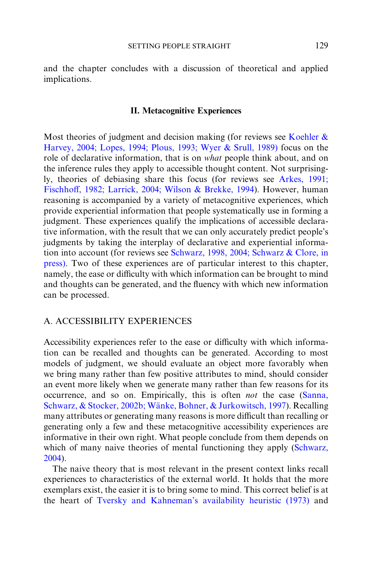<span id="page-2-0"></span>and the chapter concludes with a discussion of theoretical and applied implications.

### II. Metacognitive Experiences

Most theories of judgment and decision making (for reviews see [Koehler &](#page-31-0) [Harvey, 2004; Lopes, 1994; Plous, 1993; Wyer & Srull, 1989\)](#page-31-0) focus on the role of declarative information, that is on *what* people think about, and on the inference rules they apply to accessible thought content. Not surprisingly, theories of debiasing share this focus (for reviews see [Arkes, 1991;](#page-30-0) Fischhoff[, 1982; Larrick, 2004; Wilson & Brekke, 1994](#page-30-0)). However, human reasoning is accompanied by a variety of metacognitive experiences, which provide experiential information that people systematically use in forming a judgment. These experiences qualify the implications of accessible declarative information, with the result that we can only accurately predict people's judgments by taking the interplay of declarative and experiential information into account (for reviews see [Schwarz, 1998, 2004; Schwarz & Clore, in](#page-33-0) [press\)](#page-33-0). Two of these experiences are of particular interest to this chapter, namely, the ease or difficulty with which information can be brought to mind and thoughts can be generated, and the fluency with which new information can be processed.

## A. ACCESSIBILITY EXPERIENCES

Accessibility experiences refer to the ease or difficulty with which information can be recalled and thoughts can be generated. According to most models of judgment, we should evaluate an object more favorably when we bring many rather than few positive attributes to mind, should consider an event more likely when we generate many rather than few reasons for its occurrence, and so on. Empirically, this is often not the case [\(Sanna,](#page-33-0) Schwarz, & Stocker, 2002b; Wänke, Bohner, & Jurkowitsch, 1997). Recalling many attributes or generating many reasons is more difficult than recalling or generating only a few and these metacognitive accessibility experiences are informative in their own right. What people conclude from them depends on which of many naive theories of mental functioning they apply ([Schwarz,](#page-33-0) [2004\)](#page-33-0).

The naive theory that is most relevant in the present context links recall experiences to characteristics of the external world. It holds that the more exemplars exist, the easier it is to bring some to mind. This correct belief is at the heart of [Tversky and Kahneman's availability heuristic \(1973\)](#page-34-0) and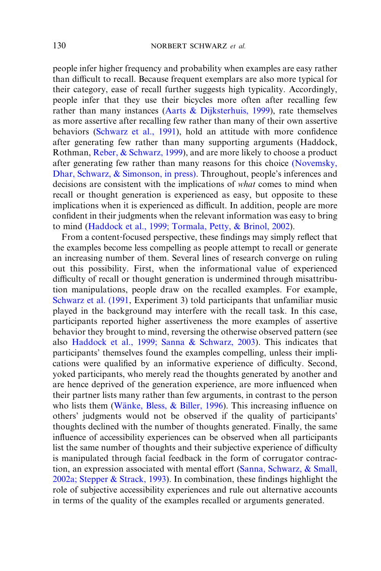people infer higher frequency and probability when examples are easy rather than difficult to recall. Because frequent exemplars are also more typical for their category, ease of recall further suggests high typicality. Accordingly, people infer that they use their bicycles more often after recalling few rather than many instances [\(Aarts & Dijksterhuis, 1999](#page-30-0)), rate themselves as more assertive after recalling few rather than many of their own assertive behaviors [\(Schwarz et al., 1991\)](#page-33-0), hold an attitude with more confidence after generating few rather than many supporting arguments (Haddock, Rothman, [Reber, & Schwarz, 1999](#page-32-0)), and are more likely to choose a product after generating few rather than many reasons for this choice [\(Novemsky,](#page-32-0) [Dhar, Schwarz, & Simonson, in press\)](#page-32-0). Throughout, people's inferences and decisions are consistent with the implications of what comes to mind when recall or thought generation is experienced as easy, but opposite to these implications when it is experienced as difficult. In addition, people are more confident in their judgments when the relevant information was easy to bring to mind ([Haddock et al., 1999; Tormala, Petty, & Brinol, 2002](#page-31-0)).

From a content-focused perspective, these findings may simply reflect that the examples become less compelling as people attempt to recall or generate an increasing number of them. Several lines of research converge on ruling out this possibility. First, when the informational value of experienced difficulty of recall or thought generation is undermined through misattribution manipulations, people draw on the recalled examples. For example, [Schwarz et al. \(1991](#page-33-0), Experiment 3) told participants that unfamiliar music played in the background may interfere with the recall task. In this case, participants reported higher assertiveness the more examples of assertive behavior they brought to mind, reversing the otherwise observed pattern (see also [Haddock et al., 1999; Sanna & Schwarz, 2003](#page-31-0)). This indicates that participants' themselves found the examples compelling, unless their implications were qualified by an informative experience of difficulty. Second, yoked participants, who merely read the thoughts generated by another and are hence deprived of the generation experience, are more influenced when their partner lists many rather than few arguments, in contrast to the person who lists them (Wänke, Bless,  $\&$  Biller, 1996). This increasing influence on others' judgments would not be observed if the quality of participants' thoughts declined with the number of thoughts generated. Finally, the same influence of accessibility experiences can be observed when all participants list the same number of thoughts and their subjective experience of difficulty is manipulated through facial feedback in the form of corrugator contraction, an expression associated with mental effort (Sanna, Schwarz,  $\&$  Small, [2002a; Stepper & Strack, 1993](#page-33-0)). In combination, these findings highlight the role of subjective accessibility experiences and rule out alternative accounts in terms of the quality of the examples recalled or arguments generated.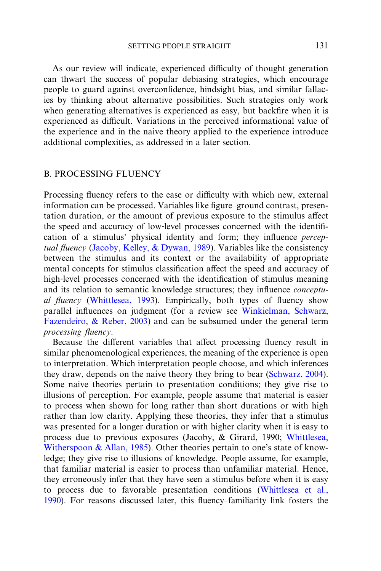As our review will indicate, experienced difficulty of thought generation can thwart the success of popular debiasing strategies, which encourage people to guard against overconfidence, hindsight bias, and similar fallacies by thinking about alternative possibilities. Such strategies only work when generating alternatives is experienced as easy, but backfire when it is experienced as difficult. Variations in the perceived informational value of the experience and in the naive theory applied to the experience introduce additional complexities, as addressed in a later section.

## B. PROCESSING FLUENCY

Processing fluency refers to the ease or difficulty with which new, external information can be processed. Variables like figure–ground contrast, presentation duration, or the amount of previous exposure to the stimulus affect the speed and accuracy of low‐level processes concerned with the identification of a stimulus' physical identity and form; they influence percep-tual fluency (Jacoby, Kelley, & [Dywan,](#page-31-0) 1989). Variables like the consistency between the stimulus and its context or the availability of appropriate mental concepts for stimulus classification affect the speed and accuracy of high-level processes concerned with the identification of stimulus meaning and its relation to semantic knowledge structures; they influence conceptual fluency ([Whittlesea,](#page-34-0) 1993). Empirically, both types of fluency show parallel influences on judgment (for a review see [Winkielman,](#page-34-0) Schwarz, [Fazendeiro,](#page-34-0) & Reber, 2003) and can be subsumed under the general term processing fluency.

Because the different variables that affect processing fluency result in similar phenomenological experiences, the meaning of the experience is open to interpretation. Which interpretation people choose, and which inferences they draw, depends on the naive theory they bring to bear ([Schwarz,](#page-33-0) 2004). Some naive theories pertain to presentation conditions; they give rise to illusions of perception. For example, people assume that material is easier to process when shown for long rather than short durations or with high rather than low clarity. Applying these theories, they infer that a stimulus was presented for a longer duration or with higher clarity when it is easy to process due to previous exposures (Jacoby, & Girard, 1990; [Whittlesea,](#page-34-0) [Witherspoon](#page-34-0) & Allan, 1985). Other theories pertain to one's state of knowledge; they give rise to illusions of knowledge. People assume, for example, that familiar material is easier to process than unfamiliar material. Hence, they erroneously infer that they have seen a stimulus before when it is easy to process due to favorable presentation conditions [\(Whittlesea et al.,](#page-34-0) [1990\)](#page-34-0). For reasons discussed later, this fluency–familiarity link fosters the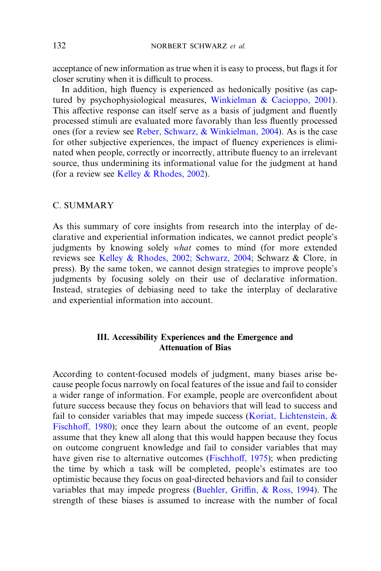acceptance of new information as true when it is easy to process, but flags it for closer scrutiny when it is difficult to process.

In addition, high fluency is experienced as hedonically positive (as captured by psychophysiological measures, [Winkielman & Cacioppo, 2001\)](#page-34-0). This affective response can itself serve as a basis of judgment and fluently processed stimuli are evaluated more favorably than less fluently processed ones (for a review see [Reber, Schwarz, & Winkielman, 2004\)](#page-32-0). As is the case for other subjective experiences, the impact of fluency experiences is eliminated when people, correctly or incorrectly, attribute fluency to an irrelevant source, thus undermining its informational value for the judgment at hand (for a review see [Kelley & Rhodes, 2002\)](#page-31-0).

#### C. SUMMARY

As this summary of core insights from research into the interplay of declarative and experiential information indicates, we cannot predict people's judgments by knowing solely *what* comes to mind (for more extended reviews see [Kelley & Rhodes, 2002; Schwarz, 2004;](#page-31-0) Schwarz & Clore, in press). By the same token, we cannot design strategies to improve people's judgments by focusing solely on their use of declarative information. Instead, strategies of debiasing need to take the interplay of declarative and experiential information into account.

# III. Accessibility Experiences and the Emergence and Attenuation of Bias

According to content‐focused models of judgment, many biases arise because people focus narrowly on focal features of the issue and fail to consider a wider range of information. For example, people are overconfident about future success because they focus on behaviors that will lead to success and fail to consider variables that may impede success (Koriat, Lichtenstein,  $\&$ [Fischho](#page-31-0)ff, 1980); once they learn about the outcome of an event, people assume that they knew all along that this would happen because they focus on outcome congruent knowledge and fail to consider variables that may have given rise to alternative outcomes [\(Fischho](#page-30-0)ff, 1975); when predicting the time by which a task will be completed, people's estimates are too optimistic because they focus on goal‐directed behaviors and fail to consider variables that may impede progress (Buehler, Griffin,  $\&$  Ross, 1994). The strength of these biases is assumed to increase with the number of focal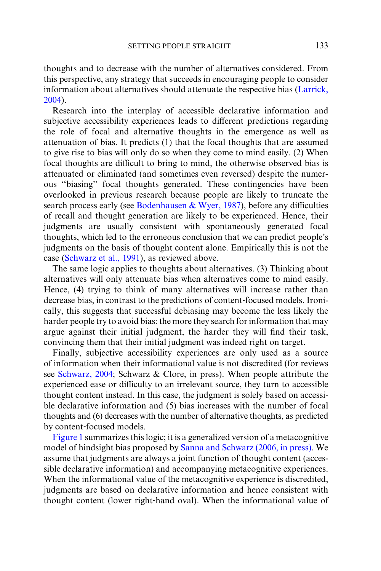thoughts and to decrease with the number of alternatives considered. From this perspective, any strategy that succeeds in encouraging people to consider information about alternatives should attenuate the respective bias ([Larrick,](#page-31-0) [2004\)](#page-31-0).

Research into the interplay of accessible declarative information and subjective accessibility experiences leads to different predictions regarding the role of focal and alternative thoughts in the emergence as well as attenuation of bias. It predicts (1) that the focal thoughts that are assumed to give rise to bias will only do so when they come to mind easily. (2) When focal thoughts are difficult to bring to mind, the otherwise observed bias is attenuated or eliminated (and sometimes even reversed) despite the numerous ''biasing'' focal thoughts generated. These contingencies have been overlooked in previous research because people are likely to truncate the search process early (see [Bodenhausen & Wyer, 1987\)](#page-30-0), before any difficulties of recall and thought generation are likely to be experienced. Hence, their judgments are usually consistent with spontaneously generated focal thoughts, which led to the erroneous conclusion that we can predict people's judgments on the basis of thought content alone. Empirically this is not the case [\(Schwarz et al., 1991\)](#page-33-0), as reviewed above.

The same logic applies to thoughts about alternatives. (3) Thinking about alternatives will only attenuate bias when alternatives come to mind easily. Hence, (4) trying to think of many alternatives will increase rather than decrease bias, in contrast to the predictions of content‐focused models. Ironically, this suggests that successful debiasing may become the less likely the harder people try to avoid bias: the more they search for information that may argue against their initial judgment, the harder they will find their task, convincing them that their initial judgment was indeed right on target.

Finally, subjective accessibility experiences are only used as a source of information when their informational value is not discredited (for reviews see [Schwarz, 2004;](#page-33-0) Schwarz & Clore, in press). When people attribute the experienced ease or difficulty to an irrelevant source, they turn to accessible thought content instead. In this case, the judgment is solely based on accessible declarative information and (5) bias increases with the number of focal thoughts and (6) decreases with the number of alternative thoughts, as predicted by content‐focused models.

[Figure 1](#page-7-0) summarizes this logic; it is a generalized version of a metacognitive model of hindsight bias proposed by [Sanna and Schwarz \(2006, in press\)](#page-32-0). We assume that judgments are always a joint function of thought content (accessible declarative information) and accompanying metacognitive experiences. When the informational value of the metacognitive experience is discredited, judgments are based on declarative information and hence consistent with thought content (lower right‐hand oval). When the informational value of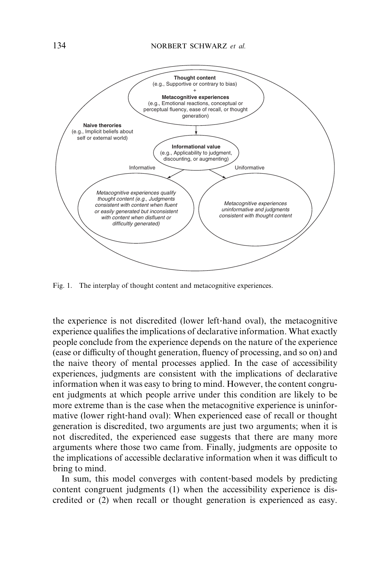<span id="page-7-0"></span>

Fig. 1. The interplay of thought content and metacognitive experiences.

the experience is not discredited (lower left‐hand oval), the metacognitive experience qualifies the implications of declarative information. What exactly people conclude from the experience depends on the nature of the experience (ease or difficulty of thought generation, fluency of processing, and so on) and the naive theory of mental processes applied. In the case of accessibility experiences, judgments are consistent with the implications of declarative information when it was easy to bring to mind. However, the content congruent judgments at which people arrive under this condition are likely to be more extreme than is the case when the metacognitive experience is uninformative (lower right-hand oval): When experienced ease of recall or thought generation is discredited, two arguments are just two arguments; when it is not discredited, the experienced ease suggests that there are many more arguments where those two came from. Finally, judgments are opposite to the implications of accessible declarative information when it was difficult to bring to mind.

In sum, this model converges with content-based models by predicting content congruent judgments (1) when the accessibility experience is discredited or (2) when recall or thought generation is experienced as easy.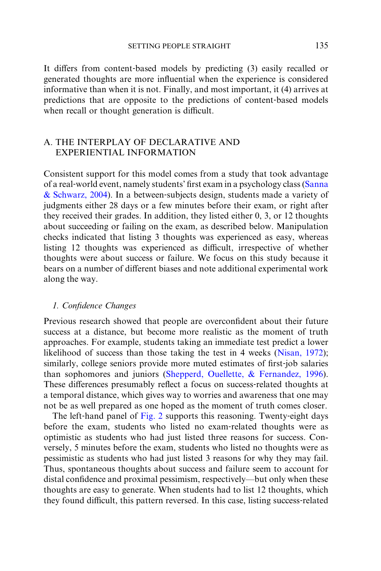It differs from content-based models by predicting (3) easily recalled or generated thoughts are more influential when the experience is considered informative than when it is not. Finally, and most important, it (4) arrives at predictions that are opposite to the predictions of content‐based models when recall or thought generation is difficult.

# A. THE INTERPLAY OF DECLARATIVE AND EXPERIENTIAL INFORMATION

Consistent support for this model comes from a study that took advantage of a real‐world event, namely students' first exam in a psychology class ([Sanna](#page-33-0) [& Schwarz, 2004\)](#page-33-0). In a between‐subjects design, students made a variety of judgments either 28 days or a few minutes before their exam, or right after they received their grades. In addition, they listed either 0, 3, or 12 thoughts about succeeding or failing on the exam, as described below. Manipulation checks indicated that listing 3 thoughts was experienced as easy, whereas listing 12 thoughts was experienced as difficult, irrespective of whether thoughts were about success or failure. We focus on this study because it bears on a number of different biases and note additional experimental work along the way.

## 1. Confidence Changes

Previous research showed that people are overconfident about their future success at a distance, but become more realistic as the moment of truth approaches. For example, students taking an immediate test predict a lower likelihood of success than those taking the test in 4 weeks [\(Nisan, 1972](#page-32-0)); similarly, college seniors provide more muted estimates of first-job salaries than sophomores and juniors [\(Shepperd, Ouellette, & Fernandez, 1996](#page-33-0)). These differences presumably reflect a focus on success-related thoughts at a temporal distance, which gives way to worries and awareness that one may not be as well prepared as one hoped as the moment of truth comes closer.

The left-hand panel of [Fig. 2](#page-9-0) supports this reasoning. Twenty-eight days before the exam, students who listed no exam-related thoughts were as optimistic as students who had just listed three reasons for success. Conversely, 5 minutes before the exam, students who listed no thoughts were as pessimistic as students who had just listed 3 reasons for why they may fail. Thus, spontaneous thoughts about success and failure seem to account for distal confidence and proximal pessimism, respectively—but only when these thoughts are easy to generate. When students had to list 12 thoughts, which they found difficult, this pattern reversed. In this case, listing success-related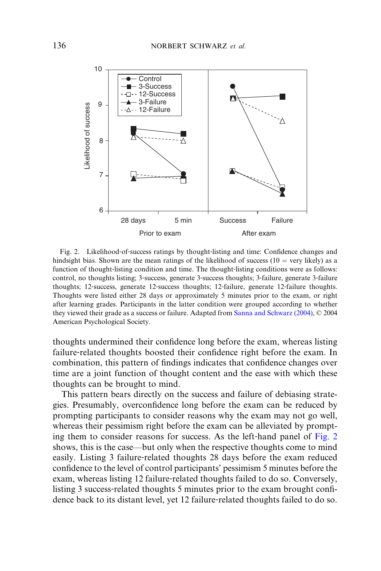<span id="page-9-0"></span>

Fig. 2. Likelihood-of-success ratings by thought-listing and time: Confidence changes and hindsight bias. Shown are the mean ratings of the likelihood of success ( $10 = \text{very likely}$ ) as a function of thought‐listing condition and time. The thought‐listing conditions were as follows: control, no thoughts listing; 3‐success, generate 3‐success thoughts; 3‐failure, generate 3‐failure thoughts; 12‐success, generate 12‐success thoughts; 12‐failure, generate 12‐failure thoughts. Thoughts were listed either 28 days or approximately 5 minutes prior to the exam, or right after learning grades. Participants in the latter condition were grouped according to whether they viewed their grade as a success or failure. Adapted from [Sanna and Schwarz \(2004\),](#page-33-0)  $\odot$  2004 American Psychological Society.

thoughts undermined their confidence long before the exam, whereas listing failure-related thoughts boosted their confidence right before the exam. In combination, this pattern of findings indicates that confidence changes over time are a joint function of thought content and the ease with which these thoughts can be brought to mind.

This pattern bears directly on the success and failure of debiasing strategies. Presumably, overconfidence long before the exam can be reduced by prompting participants to consider reasons why the exam may not go well, whereas their pessimism right before the exam can be alleviated by prompting them to consider reasons for success. As the left-hand panel of Fig.  $2$ shows, this is the case—but only when the respective thoughts come to mind easily. Listing 3 failure‐related thoughts 28 days before the exam reduced confidence to the level of control participants' pessimism 5 minutes before the exam, whereas listing 12 failure-related thoughts failed to do so. Conversely, listing 3 success-related thoughts 5 minutes prior to the exam brought confidence back to its distant level, yet 12 failure‐related thoughts failed to do so.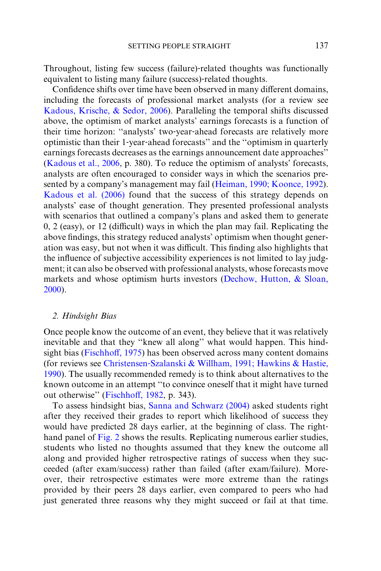Throughout, listing few success (failure)‐related thoughts was functionally equivalent to listing many failure (success)‐related thoughts.

Confidence shifts over time have been observed in many different domains, including the forecasts of professional market analysts (for a review see [Kadous, Krische, & Sedor, 2006](#page-31-0)). Paralleling the temporal shifts discussed above, the optimism of market analysts' earnings forecasts is a function of their time horizon: ''analysts' two‐year‐ahead forecasts are relatively more optimistic than their 1‐year‐ahead forecasts'' and the ''optimism in quarterly earnings forecasts decreases as the earnings announcement date approaches'' ([Kadous et al., 2006,](#page-31-0) p. 380). To reduce the optimism of analysts' forecasts, analysts are often encouraged to consider ways in which the scenarios presented by a company's management may fail [\(Heiman,](#page-31-0) 1990; Koonce, 1992). [Kadous et al. \(2006\)](#page-31-0) found that the success of this strategy depends on analysts' ease of thought generation. They presented professional analysts with scenarios that outlined a company's plans and asked them to generate  $0, 2$  (easy), or 12 (difficult) ways in which the plan may fail. Replicating the above findings, this strategy reduced analysts' optimism when thought generation was easy, but not when it was difficult. This finding also highlights that the influence of subjective accessibility experiences is not limited to lay judgment; it can also be observed with professional analysts, whose forecasts move markets and whose optimism hurts investors ([Dechow, Hutton, & Sloan,](#page-30-0) [2000\)](#page-30-0).

#### 2. Hindsight Bias

Once people know the outcome of an event, they believe that it was relatively inevitable and that they ''knew all along'' what would happen. This hind-sight bias [\(Fischho](#page-30-0)ff, 1975) has been observed across many content domains (for reviews see Christensen‐[Szalanski & Willham, 1991; Hawkins & Hastie,](#page-30-0) [1990\)](#page-30-0). The usually recommended remedy is to think about alternatives to the known outcome in an attempt ''to convince oneself that it might have turned out otherwise" [\(Fischho](#page-30-0)ff, 1982, p. 343).

To assess hindsight bias, [Sanna and Schwarz \(2004\)](#page-33-0) asked students right after they received their grades to report which likelihood of success they would have predicted 28 days earlier, at the beginning of class. The right-hand panel of [Fig. 2](#page-9-0) shows the results. Replicating numerous earlier studies, students who listed no thoughts assumed that they knew the outcome all along and provided higher retrospective ratings of success when they succeeded (after exam/success) rather than failed (after exam/failure). Moreover, their retrospective estimates were more extreme than the ratings provided by their peers 28 days earlier, even compared to peers who had just generated three reasons why they might succeed or fail at that time.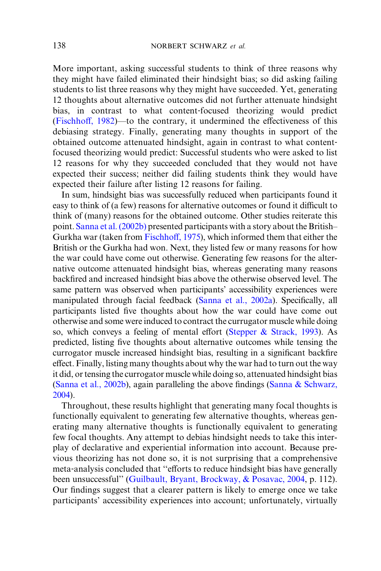More important, asking successful students to think of three reasons why they might have failed eliminated their hindsight bias; so did asking failing students to list three reasons why they might have succeeded. Yet, generating 12 thoughts about alternative outcomes did not further attenuate hindsight bias, in contrast to what content‐focused theorizing would predict  $(Fischhoff, 1982)$  $(Fischhoff, 1982)$ —to the contrary, it undermined the effectiveness of this debiasing strategy. Finally, generating many thoughts in support of the obtained outcome attenuated hindsight, again in contrast to what content‐ focused theorizing would predict: Successful students who were asked to list 12 reasons for why they succeeded concluded that they would not have expected their success; neither did failing students think they would have expected their failure after listing 12 reasons for failing.

In sum, hindsight bias was successfully reduced when participants found it easy to think of (a few) reasons for alternative outcomes or found it difficult to think of (many) reasons for the obtained outcome. Other studies reiterate this point. [Sanna et al. \(2002b\)](#page-33-0) presented participants with a story about the British– Gurkha war (taken from [Fischho](#page-30-0)ff, 1975), which informed them that either the British or the Gurkha had won. Next, they listed few or many reasons for how the war could have come out otherwise. Generating few reasons for the alternative outcome attenuated hindsight bias, whereas generating many reasons backfired and increased hindsight bias above the otherwise observed level. The same pattern was observed when participants' accessibility experiences were manipulated through facial feedback [\(Sanna et al., 2002a\)](#page-33-0). Specifically, all participants listed five thoughts about how the war could have come out otherwise and some were induced to contract the currugator muscle while doing so, which conveys a feeling of mental effort (Stepper  $\&$  Strack, 1993). As predicted, listing five thoughts about alternative outcomes while tensing the currogator muscle increased hindsight bias, resulting in a significant backfire effect. Finally, listing many thoughts about why the war had to turn out the way it did, or tensing the currogator muscle while doing so, attenuated hindsight bias [\(Sanna et al., 2002b\)](#page-33-0), again paralleling the above findings ([Sanna & Schwarz,](#page-33-0) [2004](#page-33-0)).

Throughout, these results highlight that generating many focal thoughts is functionally equivalent to generating few alternative thoughts, whereas generating many alternative thoughts is functionally equivalent to generating few focal thoughts. Any attempt to debias hindsight needs to take this interplay of declarative and experiential information into account. Because previous theorizing has not done so, it is not surprising that a comprehensive meta-analysis concluded that "efforts to reduce hindsight bias have generally been unsuccessful'' [\(Guilbault, Bryant, Brockway, & Posavac, 2004,](#page-31-0) p. 112). Our findings suggest that a clearer pattern is likely to emerge once we take participants' accessibility experiences into account; unfortunately, virtually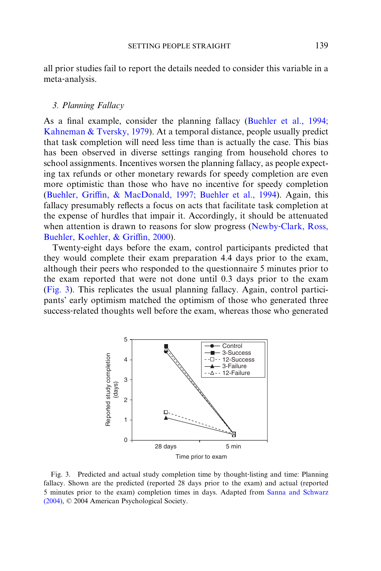all prior studies fail to report the details needed to consider this variable in a meta‐analysis.

#### 3. Planning Fallacy

As a final example, consider the planning fallacy ([Buehler et al., 1994;](#page-30-0) [Kahneman & Tversky, 1979\)](#page-30-0). At a temporal distance, people usually predict that task completion will need less time than is actually the case. This bias has been observed in diverse settings ranging from household chores to school assignments. Incentives worsen the planning fallacy, as people expecting tax refunds or other monetary rewards for speedy completion are even more optimistic than those who have no incentive for speedy completion (Buehler, Griffi[n, & MacDonald, 1997; Buehler et al., 1994](#page-30-0)). Again, this fallacy presumably reflects a focus on acts that facilitate task completion at the expense of hurdles that impair it. Accordingly, it should be attenuated when attention is drawn to reasons for slow progress (Newby-[Clark, Ross,](#page-32-0) [Buehler, Koehler, & Gri](#page-32-0)ffin, 2000).

Twenty‐eight days before the exam, control participants predicted that they would complete their exam preparation 4.4 days prior to the exam, although their peers who responded to the questionnaire 5 minutes prior to the exam reported that were not done until 0.3 days prior to the exam (Fig. 3). This replicates the usual planning fallacy. Again, control participants' early optimism matched the optimism of those who generated three success-related thoughts well before the exam, whereas those who generated



Fig. 3. Predicted and actual study completion time by thought‐listing and time: Planning fallacy. Shown are the predicted (reported 28 days prior to the exam) and actual (reported 5 minutes prior to the exam) completion times in days. Adapted from [Sanna and Schwarz](#page-33-0) [\(2004\),](#page-33-0) 2004 American Psychological Society.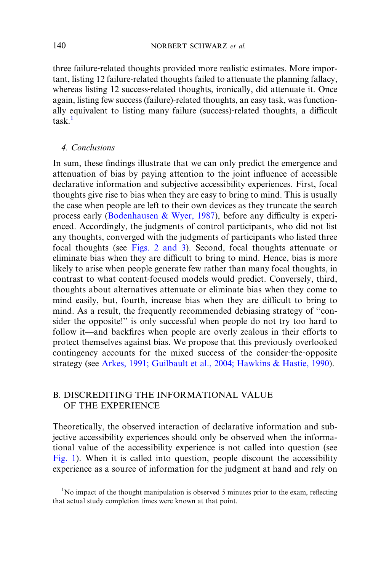three failure‐related thoughts provided more realistic estimates. More important, listing 12 failure‐related thoughts failed to attenuate the planning fallacy, whereas listing 12 success-related thoughts, ironically, did attenuate it. Once again, listing few success (failure)‐related thoughts, an easy task, was functionally equivalent to listing many failure (success)-related thoughts, a difficult task.<sup>1</sup>

#### 4. Conclusions

In sum, these findings illustrate that we can only predict the emergence and attenuation of bias by paying attention to the joint influence of accessible declarative information and subjective accessibility experiences. First, focal thoughts give rise to bias when they are easy to bring to mind. This is usually the case when people are left to their own devices as they truncate the search process early [\(Bodenhausen & Wyer, 1987\)](#page-30-0), before any difficulty is experienced. Accordingly, the judgments of control participants, who did not list any thoughts, converged with the judgments of participants who listed three focal thoughts (see [Figs. 2 and 3\)](#page-9-0). Second, focal thoughts attenuate or eliminate bias when they are difficult to bring to mind. Hence, bias is more likely to arise when people generate few rather than many focal thoughts, in contrast to what content‐focused models would predict. Conversely, third, thoughts about alternatives attenuate or eliminate bias when they come to mind easily, but, fourth, increase bias when they are difficult to bring to mind. As a result, the frequently recommended debiasing strategy of ''consider the opposite!'' is only successful when people do not try too hard to follow it—and backfires when people are overly zealous in their efforts to protect themselves against bias. We propose that this previously overlooked contingency accounts for the mixed success of the consider-the-opposite strategy (see [Arkes, 1991; Guilbault et al., 2004; Hawkins & Hastie, 1990](#page-30-0)).

# B. DISCREDITING THE INFORMATIONAL VALUE OF THE EXPERIENCE

Theoretically, the observed interaction of declarative information and subjective accessibility experiences should only be observed when the informational value of the accessibility experience is not called into question (see [Fig. 1](#page-7-0)). When it is called into question, people discount the accessibility experience as a source of information for the judgment at hand and rely on

<sup>1</sup>No impact of the thought manipulation is observed 5 minutes prior to the exam, reflecting that actual study completion times were known at that point.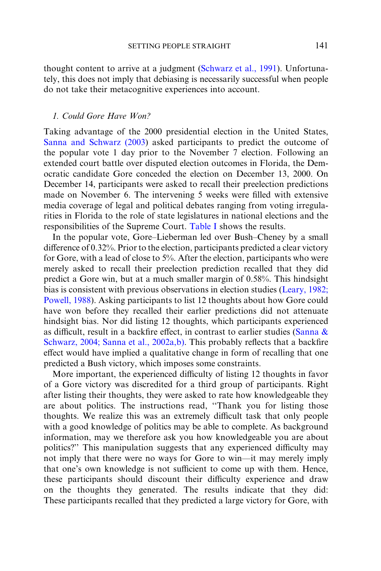thought content to arrive at a judgment ([Schwarz et al., 1991](#page-33-0)). Unfortunately, this does not imply that debiasing is necessarily successful when people do not take their metacognitive experiences into account.

#### 1. Could Gore Have Won?

Taking advantage of the 2000 presidential election in the United States, [Sanna and Schwarz \(2003\)](#page-33-0) asked participants to predict the outcome of the popular vote 1 day prior to the November 7 election. Following an extended court battle over disputed election outcomes in Florida, the Democratic candidate Gore conceded the election on December 13, 2000. On December 14, participants were asked to recall their preelection predictions made on November 6. The intervening 5 weeks were filled with extensive media coverage of legal and political debates ranging from voting irregularities in Florida to the role of state legislatures in national elections and the responsibilities of the Supreme Court. [Table I](#page-15-0) shows the results.

In the popular vote, Gore–Lieberman led over Bush–Cheney by a small difference of  $0.32\%$ . Prior to the election, participants predicted a clear victory for Gore, with a lead of close to 5%. After the election, participants who were merely asked to recall their preelection prediction recalled that they did predict a Gore win, but at a much smaller margin of 0.58%. This hindsight bias is consistent with previous observations in election studies ([Leary, 1982;](#page-31-0) [Powell, 1988](#page-31-0)). Asking participants to list 12 thoughts about how Gore could have won before they recalled their earlier predictions did not attenuate hindsight bias. Nor did listing 12 thoughts, which participants experienced as difficult, result in a backfire effect, in contrast to earlier studies (Sanna  $\&$ [Schwarz, 2004; Sanna et al., 2002a,b\).](#page-32-0) This probably reflects that a backfire effect would have implied a qualitative change in form of recalling that one predicted a Bush victory, which imposes some constraints.

More important, the experienced difficulty of listing 12 thoughts in favor of a Gore victory was discredited for a third group of participants. Right after listing their thoughts, they were asked to rate how knowledgeable they are about politics. The instructions read, ''Thank you for listing those thoughts. We realize this was an extremely difficult task that only people with a good knowledge of politics may be able to complete. As background information, may we therefore ask you how knowledgeable you are about politics?" This manipulation suggests that any experienced difficulty may not imply that there were no ways for Gore to win—it may merely imply that one's own knowledge is not sufficient to come up with them. Hence, these participants should discount their difficulty experience and draw on the thoughts they generated. The results indicate that they did: These participants recalled that they predicted a large victory for Gore, with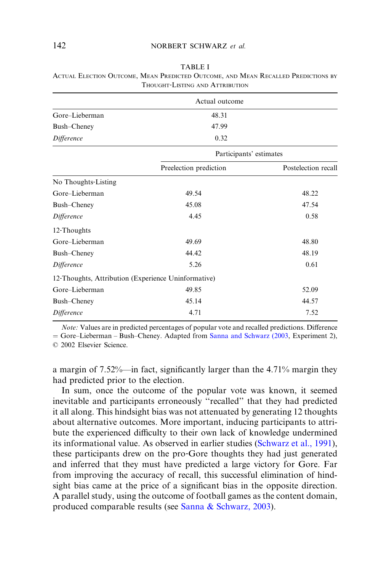|                                                     | Actual outcome          |                     |
|-----------------------------------------------------|-------------------------|---------------------|
| Gore-Lieberman                                      | 48.31                   |                     |
| Bush-Cheney                                         | 47.99                   |                     |
| Difference                                          | 0.32                    |                     |
|                                                     | Participants' estimates |                     |
|                                                     | Preelection prediction  | Postelection recall |
| No Thoughts-Listing                                 |                         |                     |
| Gore-Lieberman                                      | 49.54                   | 48.22               |
| Bush–Cheney                                         | 45.08                   | 47.54               |
| Difference                                          | 4.45                    | 0.58                |
| 12-Thoughts                                         |                         |                     |
| Gore-Lieberman                                      | 49.69                   | 48.80               |
| Bush-Cheney                                         | 44.42                   | 48.19               |
| Difference                                          | 5.26                    | 0.61                |
| 12-Thoughts, Attribution (Experience Uninformative) |                         |                     |
| Gore-Lieberman                                      | 49.85                   | 52.09               |
| Bush-Cheney                                         | 45.14                   | 44.57               |
| Difference                                          | 4.71                    | 7.52                |

<span id="page-15-0"></span>TABLE I ACTUAL ELECTION OUTCOME, MEAN PREDICTED OUTCOME, AND MEAN RECALLED PREDICTIONS BY THOUGHT-LISTING AND ATTRIBUTION

 $Note: Values are in predicted percentages of popular vote and recalled predictions. Difference$ 

 $=$  Gore–Lieberman – Bush–Cheney. Adapted from [Sanna and Schwarz \(2003,](#page-33-0) Experiment 2), 2002 Elsevier Science.

a margin of 7.52%—in fact, significantly larger than the 4.71% margin they had predicted prior to the election.

In sum, once the outcome of the popular vote was known, it seemed inevitable and participants erroneously ''recalled'' that they had predicted it all along. This hindsight bias was not attenuated by generating 12 thoughts about alternative outcomes. More important, inducing participants to attribute the experienced difficulty to their own lack of knowledge undermined its informational value. As observed in earlier studies [\(Schwarz et al., 1991\)](#page-33-0), these participants drew on the pro‐Gore thoughts they had just generated and inferred that they must have predicted a large victory for Gore. Far from improving the accuracy of recall, this successful elimination of hindsight bias came at the price of a significant bias in the opposite direction. A parallel study, using the outcome of football games as the content domain, produced comparable results (see [Sanna & Schwarz, 2003\)](#page-33-0).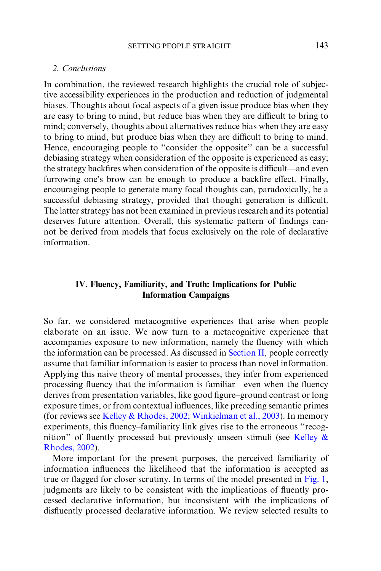## 2. Conclusions

In combination, the reviewed research highlights the crucial role of subjective accessibility experiences in the production and reduction of judgmental biases. Thoughts about focal aspects of a given issue produce bias when they are easy to bring to mind, but reduce bias when they are difficult to bring to mind; conversely, thoughts about alternatives reduce bias when they are easy to bring to mind, but produce bias when they are difficult to bring to mind. Hence, encouraging people to ''consider the opposite'' can be a successful debiasing strategy when consideration of the opposite is experienced as easy; the strategy backfires when consideration of the opposite is difficult—and even furrowing one's brow can be enough to produce a backfire effect. Finally, encouraging people to generate many focal thoughts can, paradoxically, be a successful debiasing strategy, provided that thought generation is difficult. The latter strategy has not been examined in previous research and its potential deserves future attention. Overall, this systematic pattern of findings cannot be derived from models that focus exclusively on the role of declarative information.

# IV. Fluency, Familiarity, and Truth: Implications for Public Information Campaigns

So far, we considered metacognitive experiences that arise when people elaborate on an issue. We now turn to a metacognitive experience that accompanies exposure to new information, namely the fluency with which the information can be processed. As discussed in [Section II](#page-2-0), people correctly assume that familiar information is easier to process than novel information. Applying this naive theory of mental processes, they infer from experienced processing fluency that the information is familiar—even when the fluency derives from presentation variables, like good figure–ground contrast or long exposure times, or from contextual influences, like preceding semantic primes (for reviews see [Kelley & Rhodes, 2002; Winkielman et al., 2003](#page-31-0)). In memory experiments, this fluency–familiarity link gives rise to the erroneous ''recognition" of fluently processed but previously unseen stimuli (see Kelley  $\&$ [Rhodes, 2002](#page-31-0)).

More important for the present purposes, the perceived familiarity of information influences the likelihood that the information is accepted as true or flagged for closer scrutiny. In terms of the model presented in [Fig. 1,](#page-7-0) judgments are likely to be consistent with the implications of fluently processed declarative information, but inconsistent with the implications of disfluently processed declarative information. We review selected results to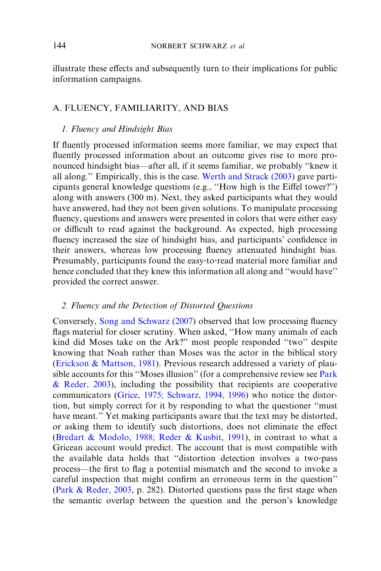illustrate these effects and subsequently turn to their implications for public information campaigns.

## A. FLUENCY, FAMILIARITY, AND BIAS

## 1. Fluency and Hindsight Bias

If fluently processed information seems more familiar, we may expect that fluently processed information about an outcome gives rise to more pronounced hindsight bias—after all, if it seems familiar, we probably ''knew it all along.'' Empirically, this is the case. [Werth and Strack \(2003\)](#page-34-0) gave participants general knowledge questions (e.g., "How high is the Eiffel tower?") along with answers (300 m). Next, they asked participants what they would have answered, had they not been given solutions. To manipulate processing fluency, questions and answers were presented in colors that were either easy or difficult to read against the background. As expected, high processing fluency increased the size of hindsight bias, and participants' confidence in their answers, whereas low processing fluency attenuated hindsight bias. Presumably, participants found the easy-to-read material more familiar and hence concluded that they knew this information all along and ''would have'' provided the correct answer.

## 2. Fluency and the Detection of Distorted Questions

Conversely, [Song and Schwarz \(2007\)](#page-33-0) observed that low processing fluency flags material for closer scrutiny. When asked, ''How many animals of each kind did Moses take on the Ark?'' most people responded ''two'' despite knowing that Noah rather than Moses was the actor in the biblical story [\(Erickson & Mattson, 1981\)](#page-30-0). Previous research addressed a variety of plausible accounts for this ''Moses illusion'' (for a comprehensive review see [Park](#page-32-0) [& Reder, 2003\)](#page-32-0), including the possibility that recipients are cooperative communicators ([Grice, 1975; Schwarz, 1994, 1996](#page-31-0)) who notice the distortion, but simply correct for it by responding to what the questioner ''must have meant." Yet making participants aware that the text may be distorted, or asking them to identify such distortions, does not eliminate the effect [\(Bredart & Modolo, 1988; Reder & Kusbit, 1991\)](#page-30-0), in contrast to what a Gricean account would predict. The account that is most compatible with the available data holds that ''distortion detection involves a two‐pass process—the first to flag a potential mismatch and the second to invoke a careful inspection that might confirm an erroneous term in the question'' [\(Park & Reder, 2003](#page-32-0), p. 282). Distorted questions pass the first stage when the semantic overlap between the question and the person's knowledge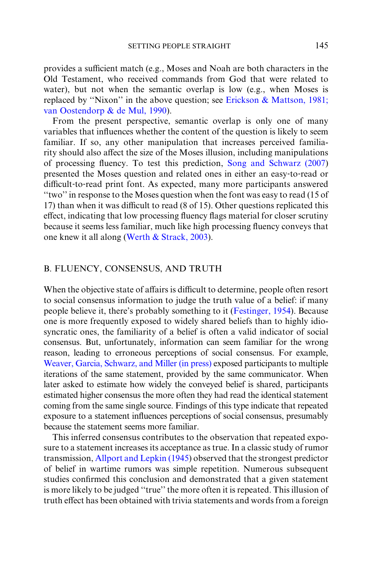provides a sufficient match (e.g., Moses and Noah are both characters in the Old Testament, who received commands from God that were related to water), but not when the semantic overlap is low (e.g., when Moses is replaced by ''Nixon'' in the above question; see [Erickson & Mattson, 1981;](#page-30-0) [van Oostendorp & de Mul, 1990\)](#page-30-0).

From the present perspective, semantic overlap is only one of many variables that influences whether the content of the question is likely to seem familiar. If so, any other manipulation that increases perceived familiarity should also affect the size of the Moses illusion, including manipulations of processing fluency. To test this prediction, [Song and Schwarz \(2007\)](#page-33-0) presented the Moses question and related ones in either an easy‐to‐read or difficult-to-read print font. As expected, many more participants answered ''two'' in response to the Moses question when the font was easy to read (15 of 17) than when it was difficult to read  $(8 \text{ of } 15)$ . Other questions replicated this effect, indicating that low processing fluency flags material for closer scrutiny because it seems less familiar, much like high processing fluency conveys that one knew it all along [\(Werth & Strack, 2003\)](#page-34-0).

#### B. FLUENCY, CONSENSUS, AND TRUTH

When the objective state of affairs is difficult to determine, people often resort to social consensus information to judge the truth value of a belief: if many people believe it, there's probably something to it ([Festinger, 1954\)](#page-30-0). Because one is more frequently exposed to widely shared beliefs than to highly idiosyncratic ones, the familiarity of a belief is often a valid indicator of social consensus. But, unfortunately, information can seem familiar for the wrong reason, leading to erroneous perceptions of social consensus. For example, [Weaver, Garcia, Schwarz, and Miller \(in press\)](#page-34-0) exposed participants to multiple iterations of the same statement, provided by the same communicator. When later asked to estimate how widely the conveyed belief is shared, participants estimated higher consensus the more often they had read the identical statement coming from the same single source. Findings of this type indicate that repeated exposure to a statement influences perceptions of social consensus, presumably because the statement seems more familiar.

This inferred consensus contributes to the observation that repeated exposure to a statement increases its acceptance as true. In a classic study of rumor transmission, [Allport and Lepkin \(1945](#page-30-0)) observed that the strongest predictor of belief in wartime rumors was simple repetition. Numerous subsequent studies confirmed this conclusion and demonstrated that a given statement is more likely to be judged ''true'' the more often it is repeated. This illusion of truth effect has been obtained with trivia statements and words from a foreign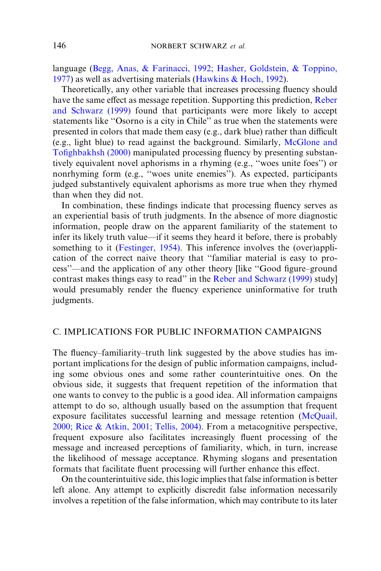language ([Begg, Anas, & Farinacci, 1992; Hasher, Goldstein, & Toppino,](#page-30-0) [1977\)](#page-30-0) as well as advertising materials ([Hawkins & Hoch, 1992](#page-31-0)).

Theoretically, any other variable that increases processing fluency should have the same effect as message repetition. Supporting this prediction, [Reber](#page-32-0) [and Schwarz \(1999\)](#page-32-0) found that participants were more likely to accept statements like ''Osorno is a city in Chile'' as true when the statements were presented in colors that made them easy (e.g., dark blue) rather than difficult (e.g., light blue) to read against the background. Similarly, [McGlone and](#page-32-0) [Tofighbakhsh \(2000\)](#page-32-0) manipulated processing fluency by presenting substantively equivalent novel aphorisms in a rhyming (e.g., ''woes unite foes'') or nonrhyming form (e.g., ''woes unite enemies''). As expected, participants judged substantively equivalent aphorisms as more true when they rhymed than when they did not.

In combination, these findings indicate that processing fluency serves as an experiential basis of truth judgments. In the absence of more diagnostic information, people draw on the apparent familiarity of the statement to infer its likely truth value—if it seems they heard it before, there is probably something to it [\(Festinger, 1954\)](#page-30-0). This inference involves the (over)application of the correct naive theory that ''familiar material is easy to process''—and the application of any other theory [like ''Good figure–ground contrast makes things easy to read'' in the [Reber and Schwarz \(1999\)](#page-32-0) study] would presumably render the fluency experience uninformative for truth judgments.

# C. IMPLICATIONS FOR PUBLIC INFORMATION CAMPAIGNS

The fluency–familiarity–truth link suggested by the above studies has important implications for the design of public information campaigns, including some obvious ones and some rather counterintuitive ones. On the obvious side, it suggests that frequent repetition of the information that one wants to convey to the public is a good idea. All information campaigns attempt to do so, although usually based on the assumption that frequent exposure facilitates successful learning and message retention ([McQuail,](#page-32-0) [2000; Rice & Atkin, 2001; Tellis, 2004\)](#page-32-0). From a metacognitive perspective, frequent exposure also facilitates increasingly fluent processing of the message and increased perceptions of familiarity, which, in turn, increase the likelihood of message acceptance. Rhyming slogans and presentation formats that facilitate fluent processing will further enhance this effect.

On the counterintuitive side, this logic implies that false information is better left alone. Any attempt to explicitly discredit false information necessarily involves a repetition of the false information, which may contribute to its later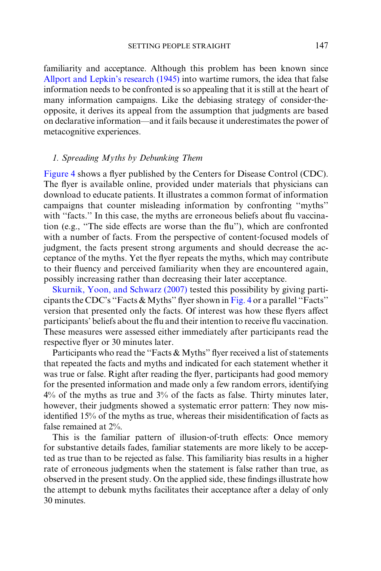familiarity and acceptance. Although this problem has been known since [Allport and Lepkin's research \(1945\)](#page-30-0) into wartime rumors, the idea that false information needs to be confronted is so appealing that it is still at the heart of many information campaigns. Like the debiasing strategy of consider-theopposite, it derives its appeal from the assumption that judgments are based on declarative information—and it fails because it underestimates the power of metacognitive experiences.

### 1. Spreading Myths by Debunking Them

[Figure 4](#page-21-0) shows a flyer published by the Centers for Disease Control (CDC). The flyer is available online, provided under materials that physicians can download to educate patients. It illustrates a common format of information campaigns that counter misleading information by confronting ''myths'' with "facts." In this case, the myths are erroneous beliefs about flu vaccination (e.g., "The side effects are worse than the flu"), which are confronted with a number of facts. From the perspective of content‐focused models of judgment, the facts present strong arguments and should decrease the acceptance of the myths. Yet the flyer repeats the myths, which may contribute to their fluency and perceived familiarity when they are encountered again, possibly increasing rather than decreasing their later acceptance.

[Skurnik, Yoon, and Schwarz \(2007\)](#page-33-0) tested this possibility by giving participants the CDC's "Facts  $\&$  Myths" flyer shown in [Fig. 4](#page-21-0) or a parallel "Facts" version that presented only the facts. Of interest was how these flyers affect participants' beliefs about the flu and their intention to receive flu vaccination. These measures were assessed either immediately after participants read the respective flyer or 30 minutes later.

Participants who read the "Facts  $&$  Myths" flyer received a list of statements that repeated the facts and myths and indicated for each statement whether it was true or false. Right after reading the flyer, participants had good memory for the presented information and made only a few random errors, identifying 4% of the myths as true and 3% of the facts as false. Thirty minutes later, however, their judgments showed a systematic error pattern: They now misidentified 15% of the myths as true, whereas their misidentification of facts as false remained at 2%.

This is the familiar pattern of illusion-of-truth effects: Once memory for substantive details fades, familiar statements are more likely to be accepted as true than to be rejected as false. This familiarity bias results in a higher rate of erroneous judgments when the statement is false rather than true, as observed in the present study. On the applied side, these findings illustrate how the attempt to debunk myths facilitates their acceptance after a delay of only 30 minutes.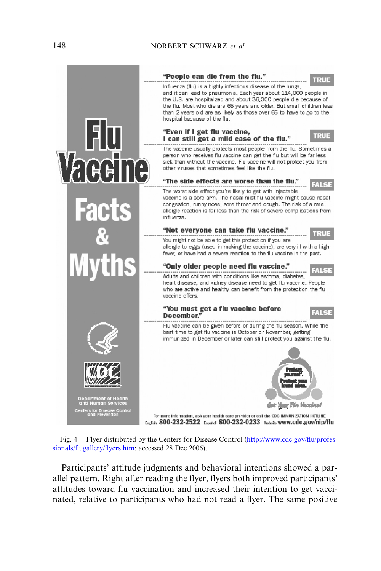<span id="page-21-0"></span>

Fig. 4. Flyer distributed by the Centers for Disease Control [\(http://www.cdc.gov/flu/profes](http://www.cdc.gov/flu/professionals/flugallery/flyers.htm)[sionals/flugallery/flyers.htm](http://www.cdc.gov/flu/professionals/flugallery/flyers.htm); accessed 28 Dec 2006).

Participants' attitude judgments and behavioral intentions showed a parallel pattern. Right after reading the flyer, flyers both improved participants' attitudes toward flu vaccination and increased their intention to get vaccinated, relative to participants who had not read a flyer. The same positive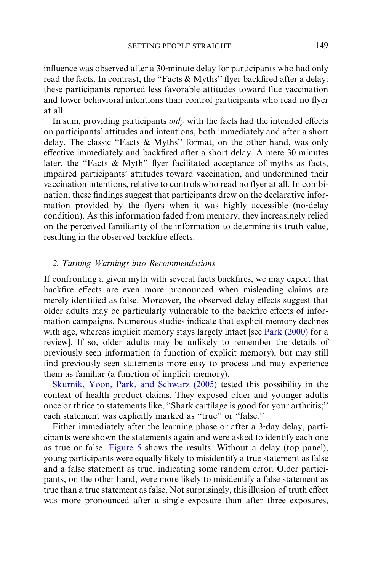influence was observed after a 30‐minute delay for participants who had only read the facts. In contrast, the "Facts & Myths" flyer backfired after a delay: these participants reported less favorable attitudes toward flue vaccination and lower behavioral intentions than control participants who read no flyer at all.

In sum, providing participants *only* with the facts had the intended effects on participants' attitudes and intentions, both immediately and after a short delay. The classic ''Facts & Myths'' format, on the other hand, was only effective immediately and backfired after a short delay. A mere 30 minutes later, the ''Facts & Myth'' flyer facilitated acceptance of myths as facts, impaired participants' attitudes toward vaccination, and undermined their vaccination intentions, relative to controls who read no flyer at all. In combination, these findings suggest that participants drew on the declarative information provided by the flyers when it was highly accessible (no-delay condition). As this information faded from memory, they increasingly relied on the perceived familiarity of the information to determine its truth value, resulting in the observed backfire effects.

#### 2. Turning Warnings into Recommendations

If confronting a given myth with several facts backfires, we may expect that backfire effects are even more pronounced when misleading claims are merely identified as false. Moreover, the observed delay effects suggest that older adults may be particularly vulnerable to the backfire effects of information campaigns. Numerous studies indicate that explicit memory declines with age, whereas implicit memory stays largely intact [see [Park \(2000\)](#page-32-0) for a review]. If so, older adults may be unlikely to remember the details of previously seen information (a function of explicit memory), but may still find previously seen statements more easy to process and may experience them as familiar (a function of implicit memory).

[Skurnik, Yoon, Park, and Schwarz \(2005\)](#page-33-0) tested this possibility in the context of health product claims. They exposed older and younger adults once or thrice to statements like, ''Shark cartilage is good for your arthritis;'' each statement was explicitly marked as ''true'' or ''false.''

Either immediately after the learning phase or after a 3‐day delay, participants were shown the statements again and were asked to identify each one as true or false. [Figure 5](#page-23-0) shows the results. Without a delay (top panel), young participants were equally likely to misidentify a true statement as false and a false statement as true, indicating some random error. Older participants, on the other hand, were more likely to misidentify a false statement as true than a true statement as false. Not surprisingly, this illusion-of-truth effect was more pronounced after a single exposure than after three exposures,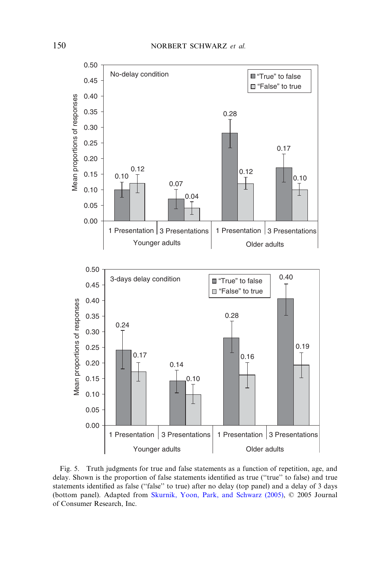<span id="page-23-0"></span>

Fig. 5. Truth judgments for true and false statements as a function of repetition, age, and delay. Shown is the proportion of false statements identified as true (''true'' to false) and true statements identified as false (''false'' to true) after no delay (top panel) and a delay of 3 days (bottom panel). Adapted from [Skurnik, Yoon, Park, and Schwarz \(2005\)](#page-33-0), © 2005 Journal of Consumer Research, Inc.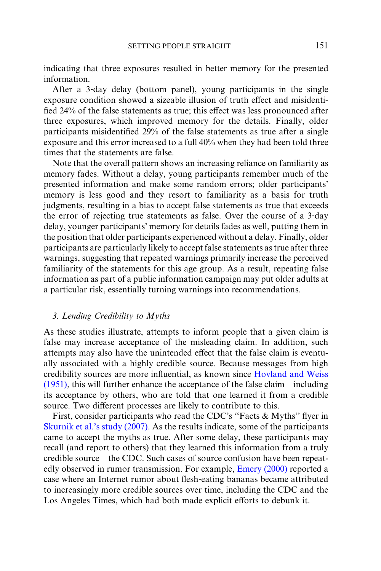indicating that three exposures resulted in better memory for the presented information.

After a 3‐day delay (bottom panel), young participants in the single exposure condition showed a sizeable illusion of truth effect and misidentified 24% of the false statements as true; this effect was less pronounced after three exposures, which improved memory for the details. Finally, older participants misidentified 29% of the false statements as true after a single exposure and this error increased to a full 40% when they had been told three times that the statements are false.

Note that the overall pattern shows an increasing reliance on familiarity as memory fades. Without a delay, young participants remember much of the presented information and make some random errors; older participants' memory is less good and they resort to familiarity as a basis for truth judgments, resulting in a bias to accept false statements as true that exceeds the error of rejecting true statements as false. Over the course of a 3‐day delay, younger participants' memory for details fades as well, putting them in the position that older participants experienced without a delay. Finally, older participants are particularly likely to accept false statements as true after three warnings, suggesting that repeated warnings primarily increase the perceived familiarity of the statements for this age group. As a result, repeating false information as part of a public information campaign may put older adults at a particular risk, essentially turning warnings into recommendations.

#### 3. Lending Credibility to Myths

As these studies illustrate, attempts to inform people that a given claim is false may increase acceptance of the misleading claim. In addition, such attempts may also have the unintended effect that the false claim is eventually associated with a highly credible source. Because messages from high credibility sources are more influential, as known since [Hovland and Weiss](#page-31-0) [\(1951\)](#page-31-0), this will further enhance the acceptance of the false claim—including its acceptance by others, who are told that one learned it from a credible source. Two different processes are likely to contribute to this.

First, consider participants who read the CDC's "Facts & Myths" flver in [Skurnik et al.'s study \(2007\).](#page-33-0) As the results indicate, some of the participants came to accept the myths as true. After some delay, these participants may recall (and report to others) that they learned this information from a truly credible source—the CDC. Such cases of source confusion have been repeatedly observed in rumor transmission. For example, [Emery \(2000\)](#page-30-0) reported a case where an Internet rumor about flesh‐eating bananas became attributed to increasingly more credible sources over time, including the CDC and the Los Angeles Times, which had both made explicit efforts to debunk it.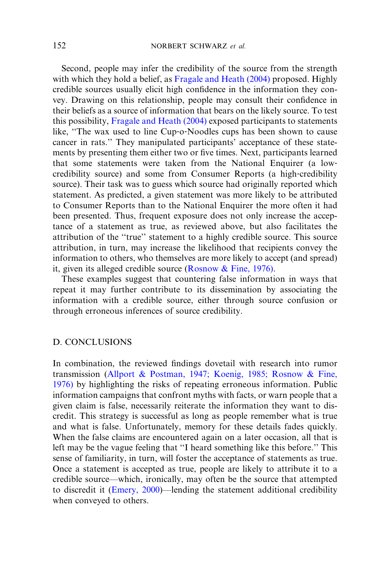Second, people may infer the credibility of the source from the strength with which they hold a belief, as [Fragale and Heath \(2004\)](#page-30-0) proposed. Highly credible sources usually elicit high confidence in the information they convey. Drawing on this relationship, people may consult their confidence in their beliefs as a source of information that bears on the likely source. To test this possibility, [Fragale and Heath \(2004\)](#page-30-0) exposed participants to statements like, ''The wax used to line Cup‐o‐Noodles cups has been shown to cause cancer in rats.'' They manipulated participants' acceptance of these statements by presenting them either two or five times. Next, participants learned that some statements were taken from the National Enquirer (a low‐ credibility source) and some from Consumer Reports (a high‐credibility source). Their task was to guess which source had originally reported which statement. As predicted, a given statement was more likely to be attributed to Consumer Reports than to the National Enquirer the more often it had been presented. Thus, frequent exposure does not only increase the acceptance of a statement as true, as reviewed above, but also facilitates the attribution of the ''true'' statement to a highly credible source. This source attribution, in turn, may increase the likelihood that recipients convey the information to others, who themselves are more likely to accept (and spread) it, given its alleged credible source ([Rosnow & Fine, 1976\).](#page-32-0)

These examples suggest that countering false information in ways that repeat it may further contribute to its dissemination by associating the information with a credible source, either through source confusion or through erroneous inferences of source credibility.

#### D. CONCLUSIONS

In combination, the reviewed findings dovetail with research into rumor transmission ([Allport & Postman, 1947; Koenig, 1985; Rosnow & Fine,](#page-30-0) [1976\)](#page-30-0) by highlighting the risks of repeating erroneous information. Public information campaigns that confront myths with facts, or warn people that a given claim is false, necessarily reiterate the information they want to discredit. This strategy is successful as long as people remember what is true and what is false. Unfortunately, memory for these details fades quickly. When the false claims are encountered again on a later occasion, all that is left may be the vague feeling that ''I heard something like this before.'' This sense of familiarity, in turn, will foster the acceptance of statements as true. Once a statement is accepted as true, people are likely to attribute it to a credible source—which, ironically, may often be the source that attempted to discredit it [\(Emery, 2000](#page-30-0))—lending the statement additional credibility when conveyed to others.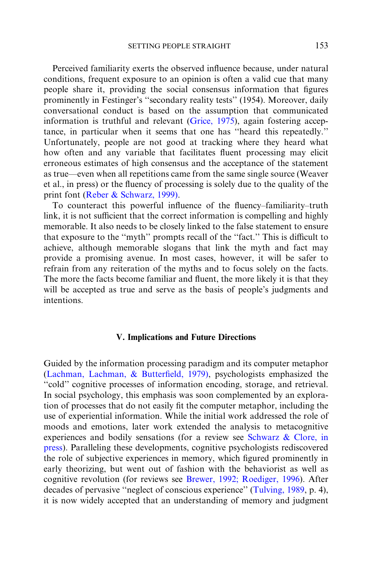Perceived familiarity exerts the observed influence because, under natural conditions, frequent exposure to an opinion is often a valid cue that many people share it, providing the social consensus information that figures prominently in Festinger's ''secondary reality tests'' (1954). Moreover, daily conversational conduct is based on the assumption that communicated information is truthful and relevant [\(Grice,](#page-31-0) 1975), again fostering acceptance, in particular when it seems that one has ''heard this repeatedly.'' Unfortunately, people are not good at tracking where they heard what how often and any variable that facilitates fluent processing may elicit erroneous estimates of high consensus and the acceptance of the statement as true—even when all repetitions came from the same single source (Weaver et al., in press) or the fluency of processing is solely due to the quality of the print font (Reber & [Schwarz,](#page-32-0) 1999).

To counteract this powerful influence of the fluency–familiarity–truth link, it is not sufficient that the correct information is compelling and highly memorable. It also needs to be closely linked to the false statement to ensure that exposure to the "myth" prompts recall of the "fact." This is difficult to achieve, although memorable slogans that link the myth and fact may provide a promising avenue. In most cases, however, it will be safer to refrain from any reiteration of the myths and to focus solely on the facts. The more the facts become familiar and fluent, the more likely it is that they will be accepted as true and serve as the basis of people's judgments and intentions.

#### V. Implications and Future Directions

Guided by the information processing paradigm and its computer metaphor (Lachman, Lachman, & [Butterfield,](#page-31-0) 1979), psychologists emphasized the ''cold'' cognitive processes of information encoding, storage, and retrieval. In social psychology, this emphasis was soon complemented by an exploration of processes that do not easily fit the computer metaphor, including the use of experiential information. While the initial work addressed the role of moods and emotions, later work extended the analysis to metacognitive experiences and bodily sensations (for a review see [Schwarz](#page-33-0) & Clore, in [press\)](#page-33-0). Paralleling these developments, cognitive psychologists rediscovered the role of subjective experiences in memory, which figured prominently in early theorizing, but went out of fashion with the behaviorist as well as cognitive revolution (for reviews see [Brewer, 1992; Roediger, 1996\)](#page-30-0). After decades of pervasive ''neglect of conscious experience'' ([Tulving, 1989](#page-34-0), p. 4), it is now widely accepted that an understanding of memory and judgment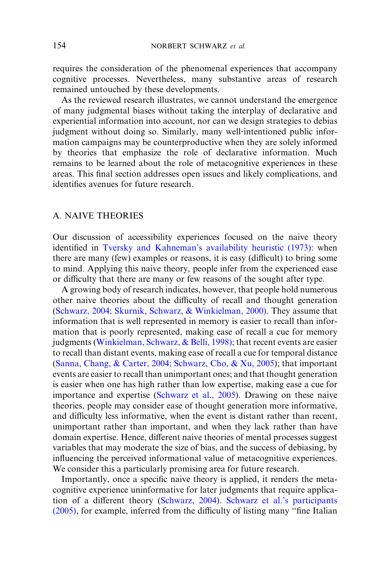requires the consideration of the phenomenal experiences that accompany cognitive processes. Nevertheless, many substantive areas of research remained untouched by these developments.

As the reviewed research illustrates, we cannot understand the emergence of many judgmental biases without taking the interplay of declarative and experiential information into account, nor can we design strategies to debias judgment without doing so. Similarly, many well-intentioned public information campaigns may be counterproductive when they are solely informed by theories that emphasize the role of declarative information. Much remains to be learned about the role of metacognitive experiences in these areas. This final section addresses open issues and likely complications, and identifies avenues for future research.

## A. NAIVE THEORIES

Our discussion of accessibility experiences focused on the naive theory identified in [Tversky and Kahneman's availability heuristic \(1973\):](#page-34-0) when there are many (few) examples or reasons, it is easy (difficult) to bring some to mind. Applying this naive theory, people infer from the experienced ease or difficulty that there are many or few reasons of the sought after type.

A growing body of research indicates, however, that people hold numerous other naive theories about the difficulty of recall and thought generation [\(Schwarz, 2004; Skurnik, Schwarz, & Winkielman, 2000\)](#page-33-0). They assume that information that is well represented in memory is easier to recall than information that is poorly represented, making ease of recall a cue for memory judgments [\(Winkielman, Schwarz, & Belli, 1998\)](#page-34-0); that recent events are easier to recall than distant events, making ease of recall a cue for temporal distance [\(Sanna, Chang, & Carter, 2004; Schwarz, Cho, & Xu, 2005](#page-32-0)); that important events are easier to recall than unimportant ones; and that thought generation is easier when one has high rather than low expertise, making ease a cue for importance and expertise ([Schwarz et al., 2005\)](#page-33-0). Drawing on these naive theories, people may consider ease of thought generation more informative, and difficulty less informative, when the event is distant rather than recent, unimportant rather than important, and when they lack rather than have domain expertise. Hence, different naive theories of mental processes suggest variables that may moderate the size of bias, and the success of debiasing, by influencing the perceived informational value of metacognitive experiences. We consider this a particularly promising area for future research.

Importantly, once a specific naive theory is applied, it renders the metacognitive experience uninformative for later judgments that require applica-tion of a different theory [\(Schwarz, 2004\)](#page-33-0). [Schwarz et al.'s participants](#page-33-0)  $(2005)$ , for example, inferred from the difficulty of listing many "fine Italian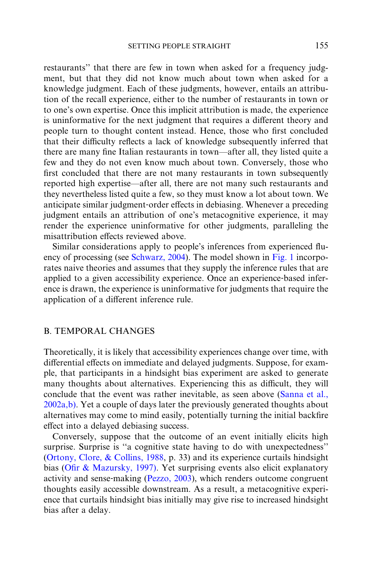restaurants'' that there are few in town when asked for a frequency judgment, but that they did not know much about town when asked for a knowledge judgment. Each of these judgments, however, entails an attribution of the recall experience, either to the number of restaurants in town or to one's own expertise. Once this implicit attribution is made, the experience is uninformative for the next judgment that requires a different theory and people turn to thought content instead. Hence, those who first concluded that their difficulty reflects a lack of knowledge subsequently inferred that there are many fine Italian restaurants in town—after all, they listed quite a few and they do not even know much about town. Conversely, those who first concluded that there are not many restaurants in town subsequently reported high expertise—after all, there are not many such restaurants and they nevertheless listed quite a few, so they must know a lot about town. We anticipate similar judgment-order effects in debiasing. Whenever a preceding judgment entails an attribution of one's metacognitive experience, it may render the experience uninformative for other judgments, paralleling the misattribution effects reviewed above.

Similar considerations apply to people's inferences from experienced fluency of processing (see [Schwarz, 2004](#page-33-0)). The model shown in [Fig. 1](#page-7-0) incorporates naive theories and assumes that they supply the inference rules that are applied to a given accessibility experience. Once an experience-based inference is drawn, the experience is uninformative for judgments that require the application of a different inference rule.

# B. TEMPORAL CHANGES

Theoretically, it is likely that accessibility experiences change over time, with differential effects on immediate and delayed judgments. Suppose, for example, that participants in a hindsight bias experiment are asked to generate many thoughts about alternatives. Experiencing this as difficult, they will conclude that the event was rather inevitable, as seen above ([Sanna et al.,](#page-33-0) [2002a,b\)](#page-33-0). Yet a couple of days later the previously generated thoughts about alternatives may come to mind easily, potentially turning the initial backfire effect into a delayed debiasing success.

Conversely, suppose that the outcome of an event initially elicits high surprise. Surprise is ''a cognitive state having to do with unexpectedness'' ([Ortony, Clore, & Collins, 1988](#page-32-0), p. 33) and its experience curtails hindsight bias [\(Ofir & Mazursky, 1997\)](#page-32-0). Yet surprising events also elicit explanatory activity and sense-making ([Pezzo, 2003](#page-32-0)), which renders outcome congruent thoughts easily accessible downstream. As a result, a metacognitive experience that curtails hindsight bias initially may give rise to increased hindsight bias after a delay.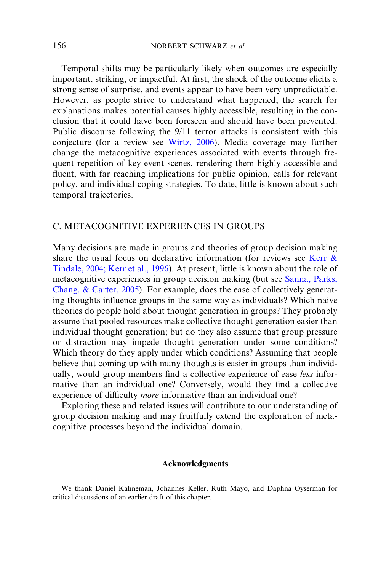Temporal shifts may be particularly likely when outcomes are especially important, striking, or impactful. At first, the shock of the outcome elicits a strong sense of surprise, and events appear to have been very unpredictable. However, as people strive to understand what happened, the search for explanations makes potential causes highly accessible, resulting in the conclusion that it could have been foreseen and should have been prevented. Public discourse following the 9/11 terror attacks is consistent with this conjecture (for a review see [Wirtz, 2006\)](#page-34-0). Media coverage may further change the metacognitive experiences associated with events through frequent repetition of key event scenes, rendering them highly accessible and fluent, with far reaching implications for public opinion, calls for relevant policy, and individual coping strategies. To date, little is known about such temporal trajectories.

# C. METACOGNITIVE EXPERIENCES IN GROUPS

Many decisions are made in groups and theories of group decision making share the usual focus on declarative information (for reviews see Kerr  $\&$ [Tindale, 2004; Kerr et al., 1996](#page-31-0)). At present, little is known about the role of metacognitive experiences in group decision making (but see [Sanna, Parks,](#page-32-0) [Chang, & Carter, 2005\)](#page-32-0). For example, does the ease of collectively generating thoughts influence groups in the same way as individuals? Which naive theories do people hold about thought generation in groups? They probably assume that pooled resources make collective thought generation easier than individual thought generation; but do they also assume that group pressure or distraction may impede thought generation under some conditions? Which theory do they apply under which conditions? Assuming that people believe that coming up with many thoughts is easier in groups than individually, would group members find a collective experience of ease *less* informative than an individual one? Conversely, would they find a collective experience of difficulty *more* informative than an individual one?

Exploring these and related issues will contribute to our understanding of group decision making and may fruitfully extend the exploration of metacognitive processes beyond the individual domain.

#### Acknowledgments

We thank Daniel Kahneman, Johannes Keller, Ruth Mayo, and Daphna Oyserman for critical discussions of an earlier draft of this chapter.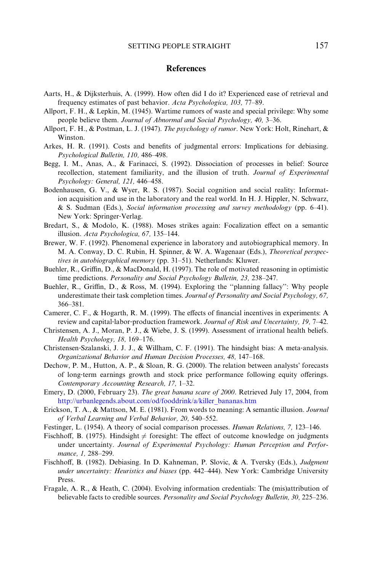#### References

- <span id="page-30-0"></span>Aarts, H., & Dijksterhuis, A. (1999). How often did I do it? Experienced ease of retrieval and frequency estimates of past behavior. Acta Psychologica, 103, 77–89.
- Allport, F. H., & Lepkin, M. (1945). Wartime rumors of waste and special privilege: Why some people believe them. Journal of Abnormal and Social Psychology, 40, 3–36.
- Allport, F. H., & Postman, L. J. (1947). The psychology of rumor. New York: Holt, Rinehart, & Winston.
- Arkes, H. R. (1991). Costs and benefits of judgmental errors: Implications for debiasing. Psychological Bulletin, 110, 486–498.
- Begg, I. M., Anas, A., & Farinacci, S. (1992). Dissociation of processes in belief: Source recollection, statement familiarity, and the illusion of truth. Journal of Experimental Psychology: General, 121, 446–458.
- Bodenhausen, G. V., & Wyer, R. S. (1987). Social cognition and social reality: Information acquisition and use in the laboratory and the real world. In H. J. Hippler, N. Schwarz, & S. Sudman (Eds.), Social information processing and survey methodology (pp. 6–41). New York: Springer‐Verlag.
- Bredart, S., & Modolo, K. (1988). Moses strikes again: Focalization effect on a semantic illusion. Acta Psychologica, 67, 135–144.
- Brewer, W. F. (1992). Phenomenal experience in laboratory and autobiographical memory. In M. A. Conway, D. C. Rubin, H. Spinner, & W. A. Wagenaar (Eds.), Theoretical perspectives in autobiographical memory (pp. 31–51). Netherlands: Kluwer.
- Buehler, R., Griffin, D., & MacDonald, H. (1997). The role of motivated reasoning in optimistic time predictions. Personality and Social Psychology Bulletin, 23, 238–247.
- Buehler, R., Griffin, D., & Ross, M. (1994). Exploring the "planning fallacy": Why people underestimate their task completion times. Journal of Personality and Social Psychology, 67, 366–381.
- Camerer, C. F., & Hogarth, R. M. (1999). The effects of financial incentives in experiments: A review and capital-labor-production framework. Journal of Risk and Uncertainty, 19, 7–42.
- Christensen, A. J., Moran, P. J., & Wiebe, J. S. (1999). Assessment of irrational health beliefs. Health Psychology, 18, 169–176.
- Christensen‐Szalanski, J. J. J., & Willham, C. F. (1991). The hindsight bias: A meta‐analysis. Organizational Behavior and Human Decision Processes, 48, 147–168.
- Dechow, P. M., Hutton, A. P., & Sloan, R. G. (2000). The relation between analysts' forecasts of long-term earnings growth and stock price performance following equity offerings. Contemporary Accounting Research, 17, 1–32.
- Emery, D. (2000, February 23). The great banana scare of 2000. Retrieved July 17, 2004, from [http://urbanlegends.about.com/od/fooddrink/a/killer\\_bananas.htm](http://urbanlegends.about.com/od/fooddrink/a/killer_bananas.htm)
- Erickson, T. A., & Mattson, M. E. (1981). From words to meaning: A semantic illusion. Journal of Verbal Learning and Verbal Behavior, 20, 540–552.
- Festinger, L. (1954). A theory of social comparison processes. Human Relations, 7, 123–146.
- Fischhoff, B. (1975). Hindsight  $\neq$  foresight: The effect of outcome knowledge on judgments under uncertainty. Journal of Experimental Psychology: Human Perception and Performance, 1, 288–299.
- Fischhoff, B. (1982). Debiasing. In D. Kahneman, P. Slovic, & A. Tversky (Eds.), Judgment under uncertainty: Heuristics and biases (pp. 442-444). New York: Cambridge University Press.
- Fragale, A. R., & Heath, C. (2004). Evolving information credentials: The (mis)attribution of believable facts to credible sources. Personality and Social Psychology Bulletin, 30, 225–236.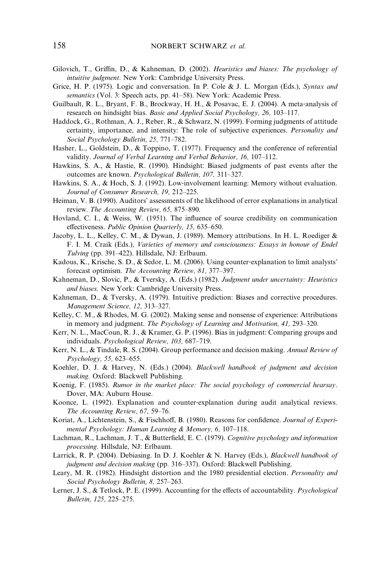- <span id="page-31-0"></span>Gilovich, T., Griffin, D., & Kahneman, D. (2002). Heuristics and biases: The psychology of intuitive judgment. New York: Cambridge University Press.
- Grice, H. P. (1975). Logic and conversation. In P. Cole & J. L. Morgan (Eds.), Syntax and semantics (Vol. 3: Speech acts, pp. 41–58). New York: Academic Press.
- Guilbault, R. L., Bryant, F. B., Brockway, H. H., & Posavac, E. J. (2004). A meta‐analysis of research on hindsight bias. Basic and Applied Social Psychology, 26, 103–117.
- Haddock, G., Rothman, A. J., Reber, R., & Schwarz, N. (1999). Forming judgments of attitude certainty, importance, and intensity: The role of subjective experiences. Personality and Social Psychology Bulletin, 25, 771–782.
- Hasher, L., Goldstein, D., & Toppino, T. (1977). Frequency and the conference of referential validity. Journal of Verbal Learning and Verbal Behavior, 16, 107–112.
- Hawkins, S. A., & Hastie, R. (1990). Hindsight: Biased judgments of past events after the outcomes are known. Psychological Bulletin, 107, 311–327.
- Hawkins, S. A., & Hoch, S. J. (1992). Low‐involvement learning: Memory without evaluation. Journal of Consumer Research, 19, 212–225.
- Heiman, V. B. (1990). Auditors' assessments of the likelihood of error explanations in analytical review. The Accounting Review, 65, 875–890.
- Hovland, C. I., & Weiss, W. (1951). The influence of source credibility on communication effectiveness. Public Opinion Quarterly, 15, 635-650.
- Jacoby, L. L., Kelley, C. M., & Dywan, J. (1989). Memory attributions. In H. L. Roediger & F. I. M. Craik (Eds.), Varieties of memory and consciousness: Essays in honour of Endel Tulving (pp. 391–422). Hillsdale, NJ: Erlbaum.
- Kadous, K., Krische, S. D., & Sedor, L. M. (2006). Using counter-explanation to limit analysts' forecast optimism. The Accounting Review, 81, 377–397.
- Kahneman, D., Slovic, P., & Tversky, A. (Eds.) (1982). Judgment under uncertainty: Heuristics and biases. New York: Cambridge University Press.
- Kahneman, D., & Tversky, A. (1979). Intuitive prediction: Biases and corrective procedures. Management Science, 12, 313–327.
- Kelley, C. M., & Rhodes, M. G. (2002). Making sense and nonsense of experience: Attributions in memory and judgment. The Psychology of Learning and Motivation, 41, 293–320.
- Kerr, N. L., MacCoun, R. J., & Kramer, G. P. (1996). Bias in judgment: Comparing groups and individuals. Psychological Review, 103, 687–719.
- Kerr, N. L., & Tindale, R. S. (2004). Group performance and decision making. Annual Review of Psychology, 55, 623–655.
- Koehler, D. J. & Harvey, N. (Eds.) (2004). Blackwell handbook of judgment and decision making. Oxford: Blackwell Publishing.
- Koenig, F. (1985). Rumor in the market place: The social psychology of commercial hearsay. Dover, MA: Auburn House.
- Koonce, L. (1992). Explanation and counter-explanation during audit analytical reviews. The Accounting Review, 67, 59–76.
- Koriat, A., Lichtenstein, S., & Fischhoff, B. (1980). Reasons for confidence. Journal of Experimental Psychology: Human Learning & Memory, 6, 107–118.
- Lachman, R., Lachman, J. T., & Butterfield, E. C. (1979). Cognitive psychology and information processing. Hillsdale, NJ: Erlbaum.
- Larrick, R. P. (2004). Debiasing. In D. J. Koehler & N. Harvey (Eds.), Blackwell handbook of judgment and decision making (pp. 316–337). Oxford: Blackwell Publishing.
- Leary, M. R. (1982). Hindsight distortion and the 1980 presidential election. Personality and Social Psychology Bulletin, 8, 257–263.
- Lerner, J. S., & Tetlock, P. E. (1999). Accounting for the effects of accountability. *Psychological* Bulletin, 125, 225–275.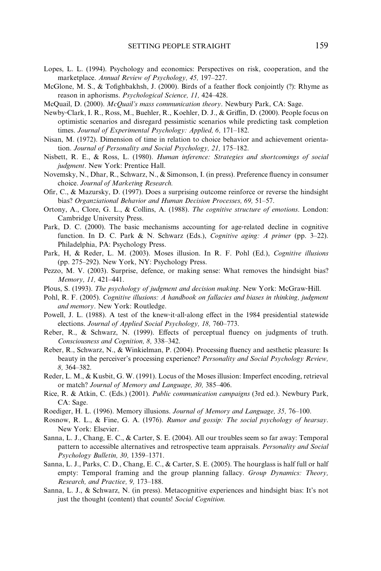- <span id="page-32-0"></span>Lopes, L. L. (1994). Psychology and economics: Perspectives on risk, cooperation, and the marketplace. Annual Review of Psychology, 45, 197–227.
- McGlone, M. S., & Tofighbakhsh, J. (2000). Birds of a feather flock conjointly (?): Rhyme as reason in aphorisms. Psychological Science, 11, 424–428.
- McQuail, D. (2000). McQuail's mass communication theory. Newbury Park, CA: Sage.
- Newby-Clark, I. R., Ross, M., Buehler, R., Koehler, D. J., & Griffin, D. (2000). People focus on optimistic scenarios and disregard pessimistic scenarios while predicting task completion times. Journal of Experimental Psychology: Applied, 6, 171–182.
- Nisan, M. (1972). Dimension of time in relation to choice behavior and achievement orientation. Journal of Personality and Social Psychology, 21, 175–182.
- Nisbett, R. E., & Ross, L. (1980). Human inference: Strategies and shortcomings of social judgment. New York: Prentice Hall.
- Novemsky, N., Dhar, R., Schwarz, N., & Simonson, I. (in press). Preference fluency in consumer choice. Journal of Marketing Research.
- Ofir, C., & Mazursky, D. (1997). Does a surprising outcome reinforce or reverse the hindsight bias? Organziational Behavior and Human Decision Processes, 69, 51–57.
- Ortony, A., Clore, G. L., & Collins, A. (1988). The cognitive structure of emotions. London: Cambridge University Press.
- Park, D. C. (2000). The basic mechanisms accounting for age-related decline in cognitive function. In D. C. Park & N. Schwarz (Eds.), Cognitive aging: A primer (pp. 3–22). Philadelphia, PA: Psychology Press.
- Park, H, & Reder, L. M. (2003). Moses illusion. In R. F. Pohl (Ed.), Cognitive illusions (pp. 275–292). New York, NY: Psychology Press.
- Pezzo, M. V. (2003). Surprise, defence, or making sense: What removes the hindsight bias? Memory, 11, 421–441.
- Plous, S. (1993). The psychology of judgment and decision making. New York: McGraw‐Hill.
- Pohl, R. F. (2005). Cognitive illusions: A handbook on fallacies and biases in thinking, judgment and memory. New York: Routledge.
- Powell, J. L. (1988). A test of the knew-it-all-along effect in the 1984 presidential statewide elections. Journal of Applied Social Psychology, 18, 760–773.
- Reber, R., & Schwarz, N. (1999). Effects of perceptual fluency on judgments of truth. Consciousness and Cognition, 8, 338–342.
- Reber, R., Schwarz, N., & Winkielman, P. (2004). Processing fluency and aesthetic pleasure: Is beauty in the perceiver's processing experience? Personality and Social Psychology Review, 8, 364–382.
- Reder, L. M., & Kusbit, G. W. (1991). Locus of the Moses illusion: Imperfect encoding, retrieval or match? Journal of Memory and Language, 30, 385–406.
- Rice, R. & Atkin, C. (Eds.) (2001). Public communication campaigns (3rd ed.). Newbury Park, CA: Sage.
- Roediger, H. L. (1996). Memory illusions. Journal of Memory and Language, 35, 76–100.
- Rosnow, R. L., & Fine, G. A. (1976). Rumor and gossip: The social psychology of hearsay. New York: Elsevier.
- Sanna, L. J., Chang, E. C., & Carter, S. E. (2004). All our troubles seem so far away: Temporal pattern to accessible alternatives and retrospective team appraisals. Personality and Social Psychology Bulletin, 30, 1359–1371.
- Sanna, L. J., Parks, C. D., Chang, E. C., & Carter, S. E. (2005). The hourglass is half full or half empty: Temporal framing and the group planning fallacy. Group Dynamics: Theory, Research, and Practice, 9, 173–188.
- Sanna, L. J., & Schwarz, N. (in press). Metacognitive experiences and hindsight bias: It's not just the thought (content) that counts! Social Cognition.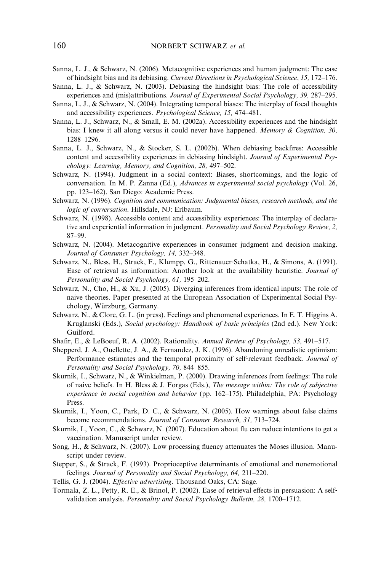- <span id="page-33-0"></span>Sanna, L. J., & Schwarz, N. (2006). Metacognitive experiences and human judgment: The case of hindsight bias and its debiasing. Current Directions in Psychological Science, 15, 172–176.
- Sanna, L. J., & Schwarz, N. (2003). Debiasing the hindsight bias: The role of accessibility experiences and (mis)attributions. Journal of Experimental Social Psychology, 39, 287–295.
- Sanna, L. J., & Schwarz, N. (2004). Integrating temporal biases: The interplay of focal thoughts and accessibility experiences. Psychological Science, 15, 474–481.
- Sanna, L. J., Schwarz, N., & Small, E. M. (2002a). Accessibility experiences and the hindsight bias: I knew it all along versus it could never have happened. Memory & Cognition, 30, 1288–1296.
- Sanna, L. J., Schwarz, N., & Stocker, S. L. (2002b). When debiasing backfires: Accessible content and accessibility experiences in debiasing hindsight. Journal of Experimental Psychology: Learning, Memory, and Cognition, 28, 497–502.
- Schwarz, N. (1994). Judgment in a social context: Biases, shortcomings, and the logic of conversation. In M. P. Zanna (Ed.), Advances in experimental social psychology (Vol. 26, pp. 123–162). San Diego: Academic Press.
- Schwarz, N. (1996). Cognition and communication: Judgmental biases, research methods, and the logic of conversation. Hillsdale, NJ: Erlbaum.
- Schwarz, N. (1998). Accessible content and accessibility experiences: The interplay of declarative and experiential information in judgment. Personality and Social Psychology Review, 2, 87–99.
- Schwarz, N. (2004). Metacognitive experiences in consumer judgment and decision making. Journal of Consumer Psychology, 14, 332–348.
- Schwarz, N., Bless, H., Strack, F., Klumpp, G., Rittenauer‐Schatka, H., & Simons, A. (1991). Ease of retrieval as information: Another look at the availability heuristic. Journal of Personality and Social Psychology, 61, 195–202.
- Schwarz, N., Cho, H., & Xu, J. (2005). Diverging inferences from identical inputs: The role of naive theories. Paper presented at the European Association of Experimental Social Psychology, Würzburg, Germany.
- Schwarz, N., & Clore, G. L. (in press). Feelings and phenomenal experiences. In E. T. Higgins A. Kruglanski (Eds.), Social psychology: Handbook of basic principles (2nd ed.). New York: Guilford.
- Shafir, E., & LeBoeuf, R. A. (2002). Rationality. Annual Review of Psychology, 53, 491–517.
- Shepperd, J. A., Ouellette, J. A., & Fernandez, J. K. (1996). Abandoning unrealistic optimism: Performance estimates and the temporal proximity of self-relevant feedback. Journal of Personality and Social Psychology, 70, 844–855.
- Skurnik, I., Schwarz, N., & Winkielman, P. (2000). Drawing inferences from feelings: The role of naive beliefs. In H. Bless & J. Forgas (Eds.), The message within: The role of subjective experience in social cognition and behavior (pp. 162–175). Philadelphia, PA: Psychology Press.
- Skurnik, I., Yoon, C., Park, D. C., & Schwarz, N. (2005). How warnings about false claims become recommendations. Journal of Consumer Research, 31, 713–724.
- Skurnik, I., Yoon, C., & Schwarz, N. (2007). Education about flu can reduce intentions to get a vaccination. Manuscript under review.
- Song, H., & Schwarz, N. (2007). Low processing fluency attenuates the Moses illusion. Manuscript under review.
- Stepper, S., & Strack, F. (1993). Proprioceptive determinants of emotional and nonemotional feelings. Journal of Personality and Social Psychology, 64, 211–220.
- Tellis, G. J. (2004). Effective advertising. Thousand Oaks, CA: Sage.
- Tormala, Z. L., Petty, R. E., & Brinol, P. (2002). Ease of retrieval effects in persuasion: A selfvalidation analysis. Personality and Social Psychology Bulletin, 28, 1700–1712.